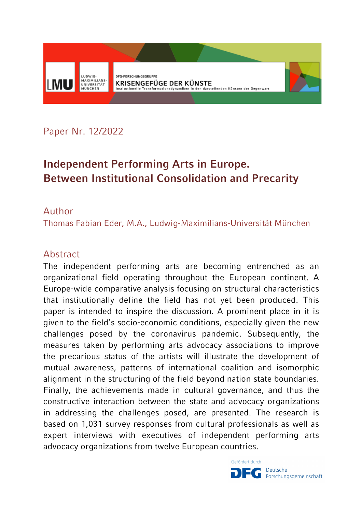

Paper Nr. 12/2022

# **Independent Performing Arts in Europe. Between Institutional Consolidation and Precarity**

## Author

Thomas Fabian Eder, M.A., Ludwig-Maximilians-Universität München

### Abstract

The independent performing arts are becoming entrenched as an organizational field operating throughout the European continent. A Europe-wide comparative analysis focusing on structural characteristics that institutionally define the field has not yet been produced. This paper is intended to inspire the discussion. A prominent place in it is given to the field's socio-economic conditions, especially given the new challenges posed by the coronavirus pandemic. Subsequently, the measures taken by performing arts advocacy associations to improve the precarious status of the artists will illustrate the development of mutual awareness, patterns of international coalition and isomorphic alignment in the structuring of the field beyond nation state boundaries. Finally, the achievements made in cultural governance, and thus the constructive interaction between the state and advocacy organizations in addressing the challenges posed, are presented. The research is based on 1,031 survey responses from cultural professionals as well as expert interviews with executives of independent performing arts advocacy organizations from twelve European countries.

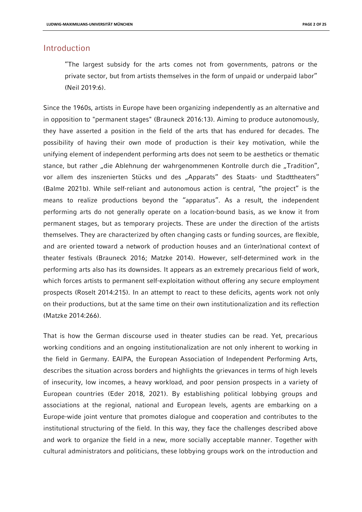#### Introduction

"The largest subsidy for the arts comes not from governments, patrons or the private sector, but from artists themselves in the form of unpaid or underpaid labor" (Neil 2019:6)*.* 

Since the 1960s, artists in Europe have been organizing independently as an alternative and in opposition to "permanent stages" (Brauneck 2016:13). Aiming to produce autonomously, they have asserted a position in the field of the arts that has endured for decades. The possibility of having their own mode of production is their key motivation, while the unifying element of independent performing arts does not seem to be aesthetics or thematic stance, but rather "die Ablehnung der wahrgenommenen Kontrolle durch die "Tradition", vor allem des inszenierten Stücks und des "Apparats" des Staats- und Stadttheaters" (Balme 2021b). While self-reliant and autonomous action is central, "the project" is the means to realize productions beyond the "apparatus". As a result, the independent performing arts do not generally operate on a location-bound basis, as we know it from permanent stages, but as temporary projects. These are under the direction of the artists themselves. They are characterized by often changing casts or funding sources, are flexible, and are oriented toward a network of production houses and an (inter)national context of theater festivals (Brauneck 2016; Matzke 2014). However, self-determined work in the performing arts also has its downsides. It appears as an extremely precarious field of work, which forces artists to permanent self-exploitation without offering any secure employment prospects (Roselt 2014:215). In an attempt to react to these deficits, agents work not only on their productions, but at the same time on their own institutionalization and its reflection (Matzke 2014:266).

That is how the German discourse used in theater studies can be read. Yet, precarious working conditions and an ongoing institutionalization are not only inherent to working in the field in Germany. EAIPA, the European Association of Independent Performing Arts, describes the situation across borders and highlights the grievances in terms of high levels of insecurity, low incomes, a heavy workload, and poor pension prospects in a variety of European countries (Eder 2018, 2021). By establishing political lobbying groups and associations at the regional, national and European levels, agents are embarking on a Europe-wide joint venture that promotes dialogue and cooperation and contributes to the institutional structuring of the field. In this way, they face the challenges described above and work to organize the field in a new, more socially acceptable manner. Together with cultural administrators and politicians, these lobbying groups work on the introduction and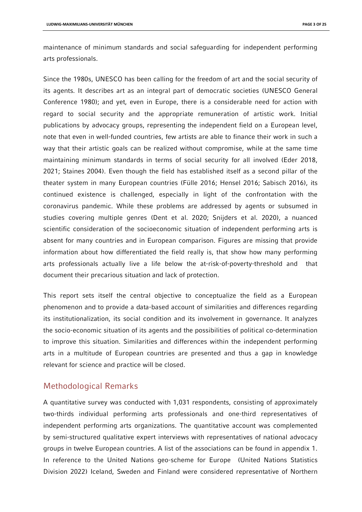maintenance of minimum standards and social safeguarding for independent performing arts professionals.

Since the 1980s, UNESCO has been calling for the freedom of art and the social security of its agents. It describes art as an integral part of democratic societies (UNESCO General Conference 1980); and yet, even in Europe, there is a considerable need for action with regard to social security and the appropriate remuneration of artistic work. Initial publications by advocacy groups, representing the independent field on a European level, note that even in well-funded countries, few artists are able to finance their work in such a way that their artistic goals can be realized without compromise, while at the same time maintaining minimum standards in terms of social security for all involved (Eder 2018, 2021; Staines 2004). Even though the field has established itself as a second pillar of the theater system in many European countries (Fülle 2016; Hensel 2016; Sabisch 2016), its continued existence is challenged, especially in light of the confrontation with the coronavirus pandemic. While these problems are addressed by agents or subsumed in studies covering multiple genres (Dent et al. 2020; Snijders et al. 2020), a nuanced scientific consideration of the socioeconomic situation of independent performing arts is absent for many countries and in European comparison. Figures are missing that provide information about how differentiated the field really is, that show how many performing arts professionals actually live a life below the at-risk-of-poverty-threshold and that document their precarious situation and lack of protection.

This report sets itself the central objective to conceptualize the field as a European phenomenon and to provide a data-based account of similarities and differences regarding its institutionalization, its social condition and its involvement in governance. It analyzes the socio-economic situation of its agents and the possibilities of political co-determination to improve this situation. Similarities and differences within the independent performing arts in a multitude of European countries are presented and thus a gap in knowledge relevant for science and practice will be closed.

#### Methodological Remarks

A quantitative survey was conducted with 1,031 respondents, consisting of approximately two-thirds individual performing arts professionals and one-third representatives of independent performing arts organizations. The quantitative account was complemented by semi-structured qualitative expert interviews with representatives of national advocacy groups in twelve European countries. A list of the associations can be found in appendix 1. In reference to the United Nations geo-scheme for Europe (United Nations Statistics Division 2022) Iceland, Sweden and Finland were considered representative of Northern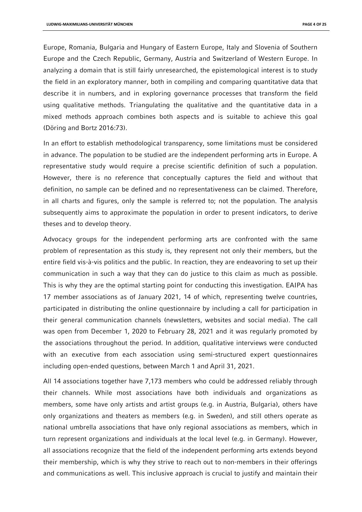Europe, Romania, Bulgaria and Hungary of Eastern Europe, Italy and Slovenia of Southern Europe and the Czech Republic, Germany, Austria and Switzerland of Western Europe. In analyzing a domain that is still fairly unresearched, the epistemological interest is to study the field in an exploratory manner, both in compiling and comparing quantitative data that describe it in numbers, and in exploring governance processes that transform the field using qualitative methods. Triangulating the qualitative and the quantitative data in a mixed methods approach combines both aspects and is suitable to achieve this goal (Döring and Bortz 2016:73).

In an effort to establish methodological transparency, some limitations must be considered in advance. The population to be studied are the independent performing arts in Europe. A representative study would require a precise scientific definition of such a population. However, there is no reference that conceptually captures the field and without that definition, no sample can be defined and no representativeness can be claimed. Therefore, in all charts and figures, only the sample is referred to; not the population. The analysis subsequently aims to approximate the population in order to present indicators, to derive theses and to develop theory.

Advocacy groups for the independent performing arts are confronted with the same problem of representation as this study is, they represent not only their members, but the entire field vis-à-vis politics and the public. In reaction, they are endeavoring to set up their communication in such a way that they can do justice to this claim as much as possible. This is why they are the optimal starting point for conducting this investigation. EAIPA has 17 member associations as of January 2021, 14 of which, representing twelve countries, participated in distributing the online questionnaire by including a call for participation in their general communication channels (newsletters, websites and social media). The call was open from December 1, 2020 to February 28, 2021 and it was regularly promoted by the associations throughout the period. In addition, qualitative interviews were conducted with an executive from each association using semi-structured expert questionnaires including open-ended questions, between March 1 and April 31, 2021.

All 14 associations together have 7,173 members who could be addressed reliably through their channels. While most associations have both individuals and organizations as members, some have only artists and artist groups (e.g. in Austria, Bulgaria), others have only organizations and theaters as members (e.g. in Sweden), and still others operate as national umbrella associations that have only regional associations as members, which in turn represent organizations and individuals at the local level (e.g. in Germany). However, all associations recognize that the field of the independent performing arts extends beyond their membership, which is why they strive to reach out to non-members in their offerings and communications as well. This inclusive approach is crucial to justify and maintain their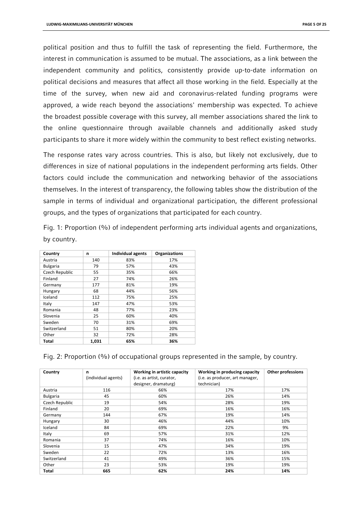political position and thus to fulfill the task of representing the field. Furthermore, the interest in communication is assumed to be mutual. The associations, as a link between the independent community and politics, consistently provide up-to-date information on political decisions and measures that affect all those working in the field. Especially at the time of the survey, when new aid and coronavirus-related funding programs were approved, a wide reach beyond the associations' membership was expected. To achieve the broadest possible coverage with this survey, all member associations shared the link to the online questionnaire through available channels and additionally asked study participants to share it more widely within the community to best reflect existing networks.

The response rates vary across countries. This is also, but likely not exclusively, due to differences in size of national populations in the independent performing arts fields. Other factors could include the communication and networking behavior of the associations themselves. In the interest of transparency, the following tables show the distribution of the sample in terms of individual and organizational participation, the different professional groups, and the types of organizations that participated for each country.

Fig. 1: Proportion (%) of independent performing arts individual agents and organizations, by country.

| Country         | n     | <b>Individual agents</b> | <b>Organizations</b> |
|-----------------|-------|--------------------------|----------------------|
| Austria         | 140   | 83%                      | 17%                  |
| <b>Bulgaria</b> | 79    | 57%                      | 43%                  |
| Czech Republic  | 55    | 35%                      | 66%                  |
| Finland         | 27    | 74%                      | 26%                  |
| Germany         | 177   | 81%                      | 19%                  |
| Hungary         | 68    | 44%                      | 56%                  |
| Iceland         | 112   | 75%                      | 25%                  |
| Italy           | 147   | 47%                      | 53%                  |
| Romania         | 48    | 77%                      | 23%                  |
| Slovenia        | 25    | 60%                      | 40%                  |
| Sweden          | 70    | 31%                      | 69%                  |
| Switzerland     | 51    | 80%                      | 20%                  |
| Other           | 32    | 72%                      | 28%                  |
| Total           | 1,031 | 65%                      | 36%                  |

Fig. 2: Proportion (%) of occupational groups represented in the sample, by country.

| Country         | n                   | Working in artistic capacity | Working in producing capacity   | <b>Other professions</b> |
|-----------------|---------------------|------------------------------|---------------------------------|--------------------------|
|                 | (individual agents) | (i.e. as artist, curator,    | (i.e. as producer, art manager, |                          |
|                 |                     | designer, dramaturg)         | technician)                     |                          |
| Austria         | 116                 | 66%                          | 17%                             | 17%                      |
| <b>Bulgaria</b> | 45                  | 60%                          | 26%                             | 14%                      |
| Czech Republic  | 19                  | 54%                          | 28%                             | 19%                      |
| Finland         | 20                  | 69%                          | 16%                             | 16%                      |
| Germany         | 144                 | 67%                          | 19%                             | 14%                      |
| Hungary         | 30                  | 46%                          | 44%                             | 10%                      |
| Iceland         | 84                  | 69%                          | 22%                             | 9%                       |
| Italy           | 69                  | 57%                          | 31%                             | 12%                      |
| Romania         | 37                  | 74%                          | 16%                             | 10%                      |
| Slovenia        | 15                  | 47%                          | 34%                             | 19%                      |
| Sweden          | 22                  | 72%                          | 13%                             | 16%                      |
| Switzerland     | 41                  | 49%                          | 36%                             | 15%                      |
| Other           | 23                  | 53%                          | 19%                             | 19%                      |
| Total           | 665                 | 62%                          | 24%                             | 14%                      |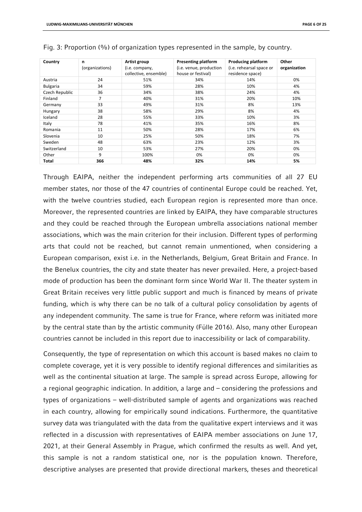| Country         | n<br>(organizations) | Artist group<br>(i.e. company,<br>collective, ensemble) | <b>Presenting platform</b><br>(i.e. venue, production<br>house or festival) | <b>Producing platform</b><br>(i.e. rehearsal space or<br>residence space) | Other<br>organization |
|-----------------|----------------------|---------------------------------------------------------|-----------------------------------------------------------------------------|---------------------------------------------------------------------------|-----------------------|
| Austria         | 24                   | 51%                                                     | 34%                                                                         | 14%                                                                       | 0%                    |
| <b>Bulgaria</b> | 34                   | 59%                                                     | 28%                                                                         | 10%                                                                       | 4%                    |
| Czech Republic  | 36                   | 34%                                                     | 38%                                                                         | 24%                                                                       | 4%                    |
| Finland         | 7                    | 40%                                                     | 31%                                                                         | 20%                                                                       | 10%                   |
| Germany         | 33                   | 49%                                                     | 31%                                                                         | 8%                                                                        | 13%                   |
| Hungary         | 38                   | 58%                                                     | 29%                                                                         | 8%                                                                        | 4%                    |
| Iceland         | 28                   | 55%                                                     | 33%                                                                         | 10%                                                                       | 3%                    |
| Italy           | 78                   | 41%                                                     | 35%                                                                         | 16%                                                                       | 8%                    |
| Romania         | 11                   | 50%                                                     | 28%                                                                         | 17%                                                                       | 6%                    |
| Slovenia        | 10                   | 25%                                                     | 50%                                                                         | 18%                                                                       | 7%                    |
| Sweden          | 48                   | 63%                                                     | 23%                                                                         | 12%                                                                       | 3%                    |
| Switzerland     | 10                   | 53%                                                     | 27%                                                                         | 20%                                                                       | 0%                    |
| Other           | 9                    | 100%                                                    | 0%                                                                          | 0%                                                                        | 0%                    |
| Total           | 366                  | 48%                                                     | 32%                                                                         | 14%                                                                       | 5%                    |

|  |  |  | Fig. 3: Proportion (%) of organization types represented in the sample, by country. |  |  |  |
|--|--|--|-------------------------------------------------------------------------------------|--|--|--|
|  |  |  |                                                                                     |  |  |  |

Through EAIPA, neither the independent performing arts communities of all 27 EU member states, nor those of the 47 countries of continental Europe could be reached. Yet, with the twelve countries studied, each European region is represented more than once. Moreover, the represented countries are linked by EAIPA, they have comparable structures and they could be reached through the European umbrella associations national member associations, which was the main criterion for their inclusion. Different types of performing arts that could not be reached, but cannot remain unmentioned, when considering a European comparison, exist i.e. in the Netherlands, Belgium, Great Britain and France. In the Benelux countries, the city and state theater has never prevailed. Here, a project-based mode of production has been the dominant form since World War II. The theater system in Great Britain receives very little public support and much is financed by means of private funding, which is why there can be no talk of a cultural policy consolidation by agents of any independent community. The same is true for France, where reform was initiated more by the central state than by the artistic community (Fülle 2016). Also, many other European countries cannot be included in this report due to inaccessibility or lack of comparability.

Consequently, the type of representation on which this account is based makes no claim to complete coverage, yet it is very possible to identify regional differences and similarities as well as the continental situation at large. The sample is spread across Europe, allowing for a regional geographic indication. In addition, a large and – considering the professions and types of organizations – well-distributed sample of agents and organizations was reached in each country, allowing for empirically sound indications. Furthermore, the quantitative survey data was triangulated with the data from the qualitative expert interviews and it was reflected in a discussion with representatives of EAIPA member associations on June 17, 2021, at their General Assembly in Prague, which confirmed the results as well. And yet, this sample is not a random statistical one, nor is the population known. Therefore, descriptive analyses are presented that provide directional markers, theses and theoretical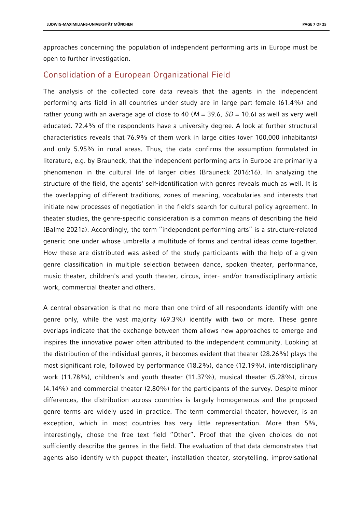approaches concerning the population of independent performing arts in Europe must be open to further investigation.

#### Consolidation of a European Organizational Field

The analysis of the collected core data reveals that the agents in the independent performing arts field in all countries under study are in large part female (61.4%) and rather young with an average age of close to 40 ( $M = 39.6$ ,  $SD = 10.6$ ) as well as very well educated. 72.4% of the respondents have a university degree. A look at further structural characteristics reveals that 76.9% of them work in large cities (over 100,000 inhabitants) and only 5.95% in rural areas. Thus, the data confirms the assumption formulated in literature, e.g. by Brauneck, that the independent performing arts in Europe are primarily a phenomenon in the cultural life of larger cities (Brauneck 2016:16). In analyzing the structure of the field, the agents' self-identification with genres reveals much as well. It is the overlapping of different traditions, zones of meaning, vocabularies and interests that initiate new processes of negotiation in the field's search for cultural policy agreement. In theater studies, the genre-specific consideration is a common means of describing the field (Balme 2021a). Accordingly, the term "independent performing arts" is a structure-related generic one under whose umbrella a multitude of forms and central ideas come together. How these are distributed was asked of the study participants with the help of a given genre classification in multiple selection between dance, spoken theater, performance, music theater, children's and youth theater, circus, inter- and/or transdisciplinary artistic work, commercial theater and others.

A central observation is that no more than one third of all respondents identify with one genre only, while the vast majority (69.3%) identify with two or more. These genre overlaps indicate that the exchange between them allows new approaches to emerge and inspires the innovative power often attributed to the independent community. Looking at the distribution of the individual genres, it becomes evident that theater (28.26%) plays the most significant role, followed by performance (18.2%), dance (12.19%), interdisciplinary work (11.78%), children's and youth theater (11.37%), musical theater (5.28%), circus (4.14%) and commercial theater (2.80%) for the participants of the survey. Despite minor differences, the distribution across countries is largely homogeneous and the proposed genre terms are widely used in practice. The term commercial theater, however, is an exception, which in most countries has very little representation. More than 5%, interestingly, chose the free text field "Other". Proof that the given choices do not sufficiently describe the genres in the field. The evaluation of that data demonstrates that agents also identify with puppet theater, installation theater, storytelling, improvisational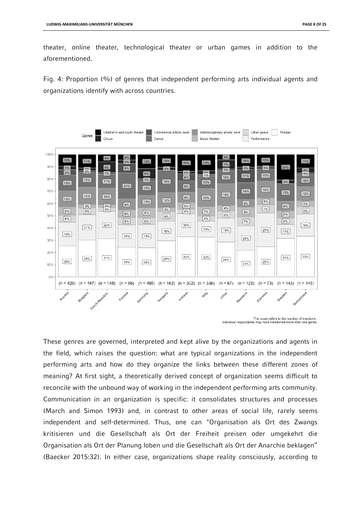theater, online theater, technological theater or urban games in addition to the aforementioned.

Fig. 4: Proportion (%) of genres that independent performing arts individual agents and organizations identify with across countries.



The count refers to the number of mentions Individual respondents may have mentioned more than one genre

These genres are governed, interpreted and kept alive by the organizations and agents in the field, which raises the question: what are typical organizations in the independent performing arts and how do they organize the links between these different zones of meaning? At first sight, a theoretically derived concept of organization seems difficult to reconcile with the unbound way of working in the independent performing arts community. Communication in an organization is specific: it consolidates structures and processes (March and Simon 1993) and, in contrast to other areas of social life, rarely seems independent and self-determined. Thus, one can "Organisation als Ort des Zwangs kritisieren und die Gesellschaft als Ort der Freiheit preisen oder umgekehrt die Organisation als Ort der Planung loben und die Gesellschaft als Ort der Anarchie beklagen" (Baecker 2015:32). In either case, organizations shape reality consciously, according to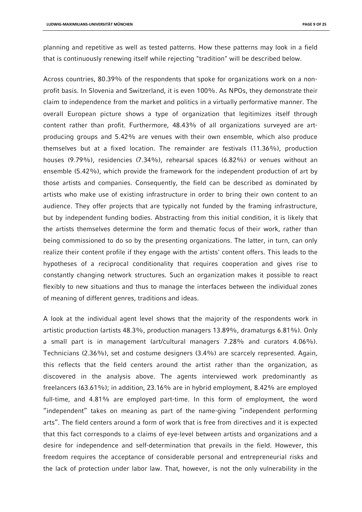planning and repetitive as well as tested patterns. How these patterns may look in a field that is continuously renewing itself while rejecting "tradition" will be described below.

Across countries, 80.39% of the respondents that spoke for organizations work on a nonprofit basis. In Slovenia and Switzerland, it is even 100%. As NPOs, they demonstrate their claim to independence from the market and politics in a virtually performative manner. The overall European picture shows a type of organization that legitimizes itself through content rather than profit. Furthermore, 48.43% of all organizations surveyed are artproducing groups and 5.42% are venues with their own ensemble, which also produce themselves but at a fixed location. The remainder are festivals (11.36%), production houses (9.79%), residencies (7.34%), rehearsal spaces (6.82%) or venues without an ensemble (5.42%), which provide the framework for the independent production of art by those artists and companies. Consequently, the field can be described as dominated by artists who make use of existing infrastructure in order to bring their own content to an audience. They offer projects that are typically not funded by the framing infrastructure, but by independent funding bodies. Abstracting from this initial condition, it is likely that the artists themselves determine the form and thematic focus of their work, rather than being commissioned to do so by the presenting organizations. The latter, in turn, can only realize their content profile if they engage with the artists' content offers. This leads to the hypotheses of a reciprocal conditionality that requires cooperation and gives rise to constantly changing network structures. Such an organization makes it possible to react flexibly to new situations and thus to manage the interfaces between the individual zones of meaning of different genres, traditions and ideas.

A look at the individual agent level shows that the majority of the respondents work in artistic production (artists 48.3%, production managers 13.89%, dramaturgs 6.81%). Only a small part is in management (art/cultural managers 7.28% and curators 4.06%). Technicians (2.36%), set and costume designers (3.4%) are scarcely represented. Again, this reflects that the field centers around the artist rather than the organization, as discovered in the analysis above. The agents interviewed work predominantly as freelancers (63.61%); in addition, 23.16% are in hybrid employment, 8.42% are employed full-time, and 4.81% are employed part-time. In this form of employment, the word "independent" takes on meaning as part of the name-giving "independent performing arts". The field centers around a form of work that is free from directives and it is expected that this fact corresponds to a claims of eye-level between artists and organizations and a desire for independence and self-determination that prevails in the field. However, this freedom requires the acceptance of considerable personal and entrepreneurial risks and the lack of protection under labor law. That, however, is not the only vulnerability in the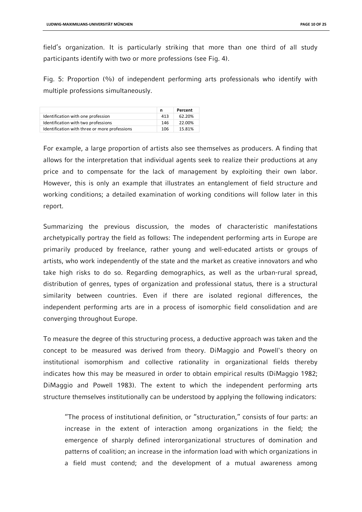field's organization. It is particularly striking that more than one third of all study participants identify with two or more professions (see Fig. 4).

Fig. 5: Proportion (%) of independent performing arts professionals who identify with multiple professions simultaneously.

|                                               | n   | Percent |
|-----------------------------------------------|-----|---------|
| Identification with one profession            | 413 | 62.20%  |
| Identification with two professions           | 146 | 22.00%  |
| Identification with three or more professions | 106 | 15.81%  |

For example, a large proportion of artists also see themselves as producers. A finding that allows for the interpretation that individual agents seek to realize their productions at any price and to compensate for the lack of management by exploiting their own labor. However, this is only an example that illustrates an entanglement of field structure and working conditions; a detailed examination of working conditions will follow later in this report.

Summarizing the previous discussion, the modes of characteristic manifestations archetypically portray the field as follows: The independent performing arts in Europe are primarily produced by freelance, rather young and well-educated artists or groups of artists, who work independently of the state and the market as creative innovators and who take high risks to do so. Regarding demographics, as well as the urban-rural spread, distribution of genres, types of organization and professional status, there is a structural similarity between countries. Even if there are isolated regional differences, the independent performing arts are in a process of isomorphic field consolidation and are converging throughout Europe.

To measure the degree of this structuring process, a deductive approach was taken and the concept to be measured was derived from theory. DiMaggio and Powell's theory on institutional isomorphism and collective rationality in organizational fields thereby indicates how this may be measured in order to obtain empirical results (DiMaggio 1982; DiMaggio and Powell 1983). The extent to which the independent performing arts structure themselves institutionally can be understood by applying the following indicators:

"The process of institutional definition, or "structuration," consists of four parts: an increase in the extent of interaction among organizations in the field; the emergence of sharply defined interorganizational structures of domination and patterns of coalition; an increase in the information load with which organizations in a field must contend; and the development of a mutual awareness among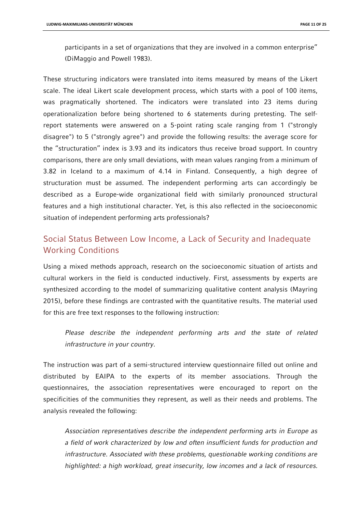participants in a set of organizations that they are involved in a common enterprise" (DiMaggio and Powell 1983).

These structuring indicators were translated into items measured by means of the Likert scale. The ideal Likert scale development process, which starts with a pool of 100 items, was pragmatically shortened. The indicators were translated into 23 items during operationalization before being shortened to 6 statements during pretesting. The selfreport statements were answered on a 5-point rating scale ranging from 1 ("strongly disagree") to 5 ("strongly agree") and provide the following results: the average score for the "structuration" index is 3.93 and its indicators thus receive broad support. In country comparisons, there are only small deviations, with mean values ranging from a minimum of 3.82 in Iceland to a maximum of 4.14 in Finland. Consequently, a high degree of structuration must be assumed. The independent performing arts can accordingly be described as a Europe-wide organizational field with similarly pronounced structural features and a high institutional character. Yet, is this also reflected in the socioeconomic situation of independent performing arts professionals?

### Social Status Between Low Income, a Lack of Security and Inadequate Working Conditions

Using a mixed methods approach, research on the socioeconomic situation of artists and cultural workers in the field is conducted inductively. First, assessments by experts are synthesized according to the model of summarizing qualitative content analysis (Mayring 2015), before these findings are contrasted with the quantitative results. The material used for this are free text responses to the following instruction:

*Please describe the independent performing arts and the state of related infrastructure in your country.*

The instruction was part of a semi-structured interview questionnaire filled out online and distributed by EAIPA to the experts of its member associations. Through the questionnaires, the association representatives were encouraged to report on the specificities of the communities they represent, as well as their needs and problems. The analysis revealed the following:

*Association representatives describe the independent performing arts in Europe as a field of work characterized by low and often insufficient funds for production and infrastructure. Associated with these problems, questionable working conditions are highlighted: a high workload, great insecurity, low incomes and a lack of resources.*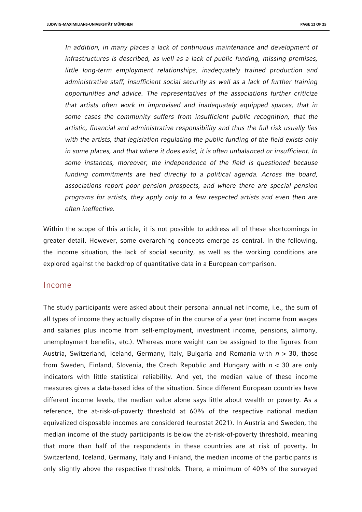In addition, in many places a lack of continuous maintenance and development of *infrastructures is described, as well as a lack of public funding, missing premises, little long-term employment relationships, inadequately trained production and administrative staff, insufficient social security as well as a lack of further training opportunities and advice. The representatives of the associations further criticize that artists often work in improvised and inadequately equipped spaces, that in some cases the community suffers from insufficient public recognition, that the artistic, financial and administrative responsibility and thus the full risk usually lies with the artists, that legislation regulating the public funding of the field exists only in some places, and that where it does exist, it is often unbalanced or insufficient. In some instances, moreover, the independence of the field is questioned because funding commitments are tied directly to a political agenda. Across the board, associations report poor pension prospects, and where there are special pension programs for artists, they apply only to a few respected artists and even then are often ineffective.*

Within the scope of this article, it is not possible to address all of these shortcomings in greater detail. However, some overarching concepts emerge as central. In the following, the income situation, the lack of social security, as well as the working conditions are explored against the backdrop of quantitative data in a European comparison.

#### Income

The study participants were asked about their personal annual net income, i.e., the sum of all types of income they actually dispose of in the course of a year (net income from wages and salaries plus income from self-employment, investment income, pensions, alimony, unemployment benefits, etc.). Whereas more weight can be assigned to the figures from Austria, Switzerland, Iceland, Germany, Italy, Bulgaria and Romania with *n* > 30, those from Sweden, Finland, Slovenia, the Czech Republic and Hungary with *n* < 30 are only indicators with little statistical reliability. And yet, the median value of these income measures gives a data-based idea of the situation. Since different European countries have different income levels, the median value alone says little about wealth or poverty. As a reference, the at-risk-of-poverty threshold at 60% of the respective national median equivalized disposable incomes are considered (eurostat 2021). In Austria and Sweden, the median income of the study participants is below the at-risk-of-poverty threshold, meaning that more than half of the respondents in these countries are at risk of poverty. In Switzerland, Iceland, Germany, Italy and Finland, the median income of the participants is only slightly above the respective thresholds. There, a minimum of 40% of the surveyed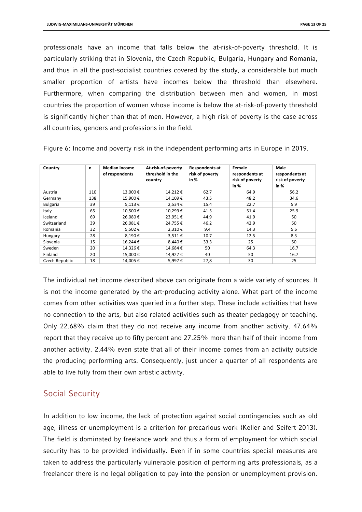professionals have an income that falls below the at-risk-of-poverty threshold. It is particularly striking that in Slovenia, the Czech Republic, Bulgaria, Hungary and Romania, and thus in all the post-socialist countries covered by the study, a considerable but much smaller proportion of artists have incomes below the threshold than elsewhere. Furthermore, when comparing the distribution between men and women, in most countries the proportion of women whose income is below the at-risk-of-poverty threshold is significantly higher than that of men. However, a high risk of poverty is the case across all countries, genders and professions in the field.

| Country         | $\mathbf n$ | <b>Median income</b><br>of respondents | At-risk-of-poverty<br>threshold in the<br>country | <b>Respondents at</b><br>risk of poverty<br>in $%$ | Female<br>respondents at<br>risk of poverty | <b>Male</b><br>respondents at<br>risk of poverty |
|-----------------|-------------|----------------------------------------|---------------------------------------------------|----------------------------------------------------|---------------------------------------------|--------------------------------------------------|
|                 |             |                                        |                                                   |                                                    | in %                                        | in $%$                                           |
| Austria         | 110         | 13,000€                                | 14,212€                                           | 62,7                                               | 64.9                                        | 56.2                                             |
| Germany         | 138         | 15,900€                                | 14,109€                                           | 43.5                                               | 48.2                                        | 34.6                                             |
| <b>Bulgaria</b> | 39          | 5,113€                                 | 2,534€                                            | 15.4                                               | 22.7                                        | 5.9                                              |
| Italy           | 65          | 10,500€                                | 10,299€                                           | 41.5                                               | 51.4                                        | 25.9                                             |
| Iceland         | 69          | 26,080€                                | 23,951€                                           | 44.9                                               | 41.9                                        | 50                                               |
| Switzerland     | 39          | 26,081€                                | 24,755€                                           | 46.2                                               | 42.9                                        | 50                                               |
| Romania         | 32          | 5,502€                                 | 2,310€                                            | 9.4                                                | 14.3                                        | 5.6                                              |
| Hungary         | 28          | 8,190€                                 | 3,511€                                            | 10.7                                               | 12.5                                        | 8.3                                              |
| Slovenia        | 15          | 16,244€                                | 8,440€                                            | 33.3                                               | 25                                          | 50                                               |
| Sweden          | 20          | 14,326€                                | 14,684€                                           | 50                                                 | 64.3                                        | 16.7                                             |
| Finland         | 20          | 15,000€                                | 14,927€                                           | 40                                                 | 50                                          | 16.7                                             |
| Czech Republic  | 18          | 14.005€                                | 5,997€                                            | 27,8                                               | 30                                          | 25                                               |

Figure 6: Income and poverty risk in the independent performing arts in Europe in 2019.

The individual net income described above can originate from a wide variety of sources. It is not the income generated by the art-producing activity alone. What part of the income comes from other activities was queried in a further step. These include activities that have no connection to the arts, but also related activities such as theater pedagogy or teaching. Only 22.68% claim that they do not receive any income from another activity. 47.64% report that they receive up to fifty percent and 27.25% more than half of their income from another activity. 2.44% even state that all of their income comes from an activity outside the producing performing arts. Consequently, just under a quarter of all respondents are able to live fully from their own artistic activity.

#### Social Security

In addition to low income, the lack of protection against social contingencies such as old age, illness or unemployment is a criterion for precarious work (Keller and Seifert 2013). The field is dominated by freelance work and thus a form of employment for which social security has to be provided individually. Even if in some countries special measures are taken to address the particularly vulnerable position of performing arts professionals, as a freelancer there is no legal obligation to pay into the pension or unemployment provision.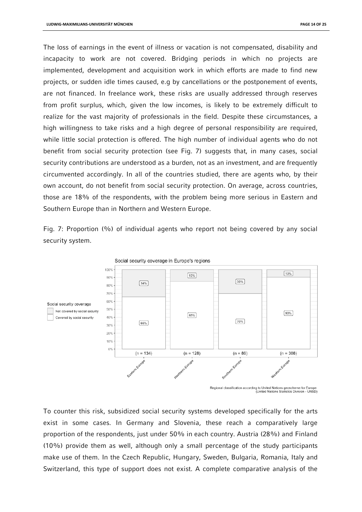The loss of earnings in the event of illness or vacation is not compensated, disability and incapacity to work are not covered. Bridging periods in which no projects are implemented, development and acquisition work in which efforts are made to find new projects, or sudden idle times caused, e.g by cancellations or the postponement of events, are not financed. In freelance work, these risks are usually addressed through reserves from profit surplus, which, given the low incomes, is likely to be extremely difficult to realize for the vast majority of professionals in the field. Despite these circumstances, a high willingness to take risks and a high degree of personal responsibility are required, while little social protection is offered. The high number of individual agents who do not benefit from social security protection (see Fig. 7) suggests that, in many cases, social security contributions are understood as a burden, not as an investment, and are frequently circumvented accordingly. In all of the countries studied, there are agents who, by their own account, do not benefit from social security protection. On average, across countries, those are 18% of the respondents, with the problem being more serious in Eastern and Southern Europe than in Northern and Western Europe.

Fig. 7: Proportion (%) of individual agents who report not being covered by any social security system.





Regional classification according to United Nations geoscheme for Europe<br>(United Nations Statistics Division - UNSD)

To counter this risk, subsidized social security systems developed specifically for the arts exist in some cases. In Germany and Slovenia, these reach a comparatively large proportion of the respondents, just under 50% in each country. Austria (28%) and Finland (10%) provide them as well, although only a small percentage of the study participants make use of them. In the Czech Republic, Hungary, Sweden, Bulgaria, Romania, Italy and Switzerland, this type of support does not exist. A complete comparative analysis of the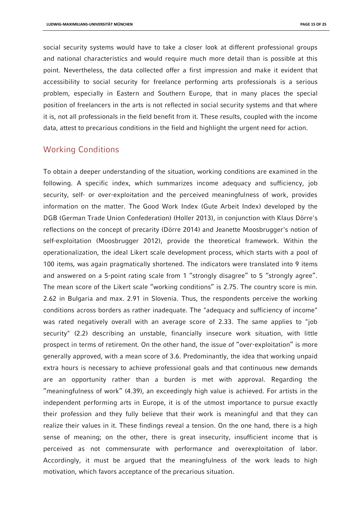social security systems would have to take a closer look at different professional groups and national characteristics and would require much more detail than is possible at this point. Nevertheless, the data collected offer a first impression and make it evident that accessibility to social security for freelance performing arts professionals is a serious problem, especially in Eastern and Southern Europe, that in many places the special position of freelancers in the arts is not reflected in social security systems and that where it is, not all professionals in the field benefit from it. These results, coupled with the income data, attest to precarious conditions in the field and highlight the urgent need for action.

#### Working Conditions

To obtain a deeper understanding of the situation, working conditions are examined in the following. A specific index, which summarizes income adequacy and sufficiency, job security, self- or over-exploitation and the perceived meaningfulness of work, provides information on the matter. The Good Work Index (Gute Arbeit Index) developed by the DGB (German Trade Union Confederation) (Holler 2013), in conjunction with Klaus Dörre's reflections on the concept of precarity (Dörre 2014) and Jeanette Moosbrugger's notion of self-exploitation (Moosbrugger 2012), provide the theoretical framework. Within the operationalization, the ideal Likert scale development process, which starts with a pool of 100 items, was again pragmatically shortened. The indicators were translated into 9 items and answered on a 5-point rating scale from 1 "strongly disagree" to 5 "strongly agree". The mean score of the Likert scale "working conditions" is 2.75. The country score is min. 2.62 in Bulgaria and max. 2.91 in Slovenia. Thus, the respondents perceive the working conditions across borders as rather inadequate. The "adequacy and sufficiency of income" was rated negatively overall with an average score of 2.33. The same applies to "job security" (2.2) describing an unstable, financially insecure work situation, with little prospect in terms of retirement. On the other hand, the issue of "over-exploitation" is more generally approved, with a mean score of 3.6. Predominantly, the idea that working unpaid extra hours is necessary to achieve professional goals and that continuous new demands are an opportunity rather than a burden is met with approval. Regarding the "meaningfulness of work" (4.39), an exceedingly high value is achieved. For artists in the independent performing arts in Europe, it is of the utmost importance to pursue exactly their profession and they fully believe that their work is meaningful and that they can realize their values in it. These findings reveal a tension. On the one hand, there is a high sense of meaning; on the other, there is great insecurity, insufficient income that is perceived as not commensurate with performance and overexploitation of labor. Accordingly, it must be argued that the meaningfulness of the work leads to high motivation, which favors acceptance of the precarious situation.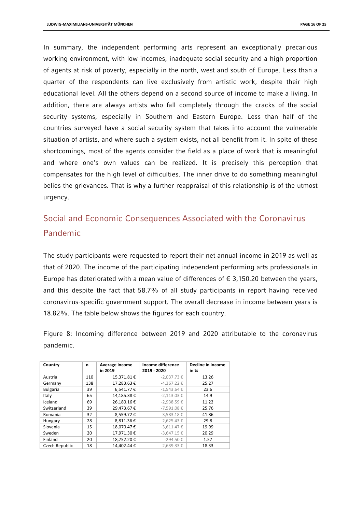In summary, the independent performing arts represent an exceptionally precarious working environment, with low incomes, inadequate social security and a high proportion of agents at risk of poverty, especially in the north, west and south of Europe. Less than a quarter of the respondents can live exclusively from artistic work, despite their high educational level. All the others depend on a second source of income to make a living. In addition, there are always artists who fall completely through the cracks of the social security systems, especially in Southern and Eastern Europe. Less than half of the countries surveyed have a social security system that takes into account the vulnerable situation of artists, and where such a system exists, not all benefit from it. In spite of these shortcomings, most of the agents consider the field as a place of work that is meaningful and where one's own values can be realized. It is precisely this perception that compensates for the high level of difficulties. The inner drive to do something meaningful belies the grievances. That is why a further reappraisal of this relationship is of the utmost urgency.

## Social and Economic Consequences Associated with the Coronavirus Pandemic

The study participants were requested to report their net annual income in 2019 as well as that of 2020. The income of the participating independent performing arts professionals in Europe has deteriorated with a mean value of differences of  $\epsilon$  3,150.20 between the years, and this despite the fact that 58.7% of all study participants in report having received coronavirus-specific government support. The overall decrease in income between years is 18.82%. The table below shows the figures for each country.

Figure 8: Incoming difference between 2019 and 2020 attributable to the coronavirus pandemic.

| Country         | n   | Average income<br>in 2019 | Income difference<br>2019 - 2020 | Decline in income<br>in $%$ |
|-----------------|-----|---------------------------|----------------------------------|-----------------------------|
| Austria         | 110 | 15.371.81€                | $-2.037.73 \in$                  | 13.26                       |
| Germany         | 138 | 17,283.63€                | $-4,367.22 \in$                  | 25.27                       |
| <b>Bulgaria</b> | 39  | 6,541.77€                 | $-1,543.64 \in$                  | 23.6                        |
| Italy           | 65  | 14,185.38€                | $-2,113.03€$                     | 14.9                        |
| Iceland         | 69  | 26,180.16€                | $-2.938.59€$                     | 11.22                       |
| Switzerland     | 39  | 29,473.67€                | $-7,591.08€$                     | 25.76                       |
| Romania         | 32  | 8.559.72€                 | $-3.583.18€$                     | 41.86                       |
| Hungary         | 28  | 8,811.36€                 | $-2,625.43 \in$                  | 29.8                        |
| Slovenia        | 15  | 18.070.47€                | $-3.611.47 \in$                  | 19.99                       |
| Sweden          | 20  | 17,971.30€                | $-3,647.15 \in$                  | 20.29                       |
| Finland         | 20  | 18.752.20€                | $-294.50€$                       | 1.57                        |
| Czech Republic  | 18  | 14.402.44€                | $-2.639.33 \notin$               | 18.33                       |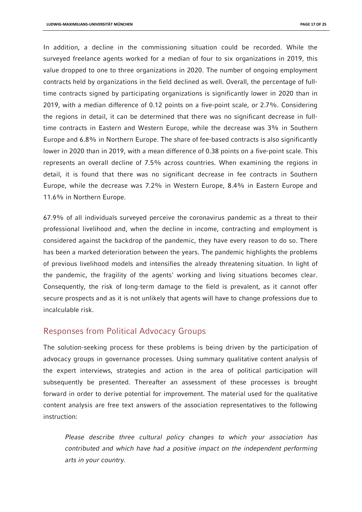In addition, a decline in the commissioning situation could be recorded. While the surveyed freelance agents worked for a median of four to six organizations in 2019, this value dropped to one to three organizations in 2020. The number of ongoing employment contracts held by organizations in the field declined as well. Overall, the percentage of fulltime contracts signed by participating organizations is significantly lower in 2020 than in 2019, with a median difference of 0.12 points on a five-point scale, or 2.7%. Considering the regions in detail, it can be determined that there was no significant decrease in fulltime contracts in Eastern and Western Europe, while the decrease was 3% in Southern Europe and 6.8% in Northern Europe. The share of fee-based contracts is also significantly lower in 2020 than in 2019, with a mean difference of 0.38 points on a five-point scale. This represents an overall decline of 7.5% across countries. When examining the regions in detail, it is found that there was no significant decrease in fee contracts in Southern Europe, while the decrease was 7.2% in Western Europe, 8.4% in Eastern Europe and 11.6% in Northern Europe.

67.9% of all individuals surveyed perceive the coronavirus pandemic as a threat to their professional livelihood and, when the decline in income, contracting and employment is considered against the backdrop of the pandemic, they have every reason to do so. There has been a marked deterioration between the years. The pandemic highlights the problems of previous livelihood models and intensifies the already threatening situation. In light of the pandemic, the fragility of the agents' working and living situations becomes clear. Consequently, the risk of long-term damage to the field is prevalent, as it cannot offer secure prospects and as it is not unlikely that agents will have to change professions due to incalculable risk.

#### Responses from Political Advocacy Groups

The solution-seeking process for these problems is being driven by the participation of advocacy groups in governance processes. Using summary qualitative content analysis of the expert interviews, strategies and action in the area of political participation will subsequently be presented. Thereafter an assessment of these processes is brought forward in order to derive potential for improvement. The material used for the qualitative content analysis are free text answers of the association representatives to the following instruction:

*Please describe three cultural policy changes to which your association has contributed and which have had a positive impact on the independent performing arts in your country.*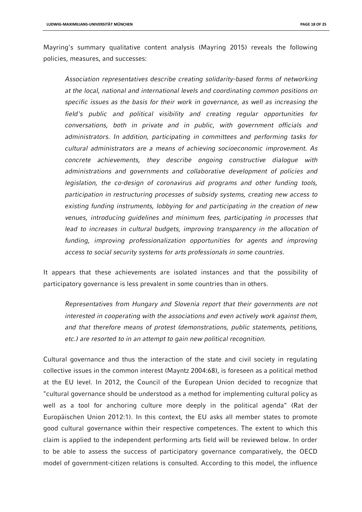Mayring's summary qualitative content analysis (Mayring 2015) reveals the following policies, measures, and successes:

*Association representatives describe creating solidarity-based forms of networking at the local, national and international levels and coordinating common positions on specific issues as the basis for their work in governance, as well as increasing the field's public and political visibility and creating regular opportunities for conversations, both in private and in public, with government officials and administrators. In addition, participating in committees and performing tasks for cultural administrators are a means of achieving socioeconomic improvement. As concrete achievements, they describe ongoing constructive dialogue with administrations and governments and collaborative development of policies and legislation, the co-design of coronavirus aid programs and other funding tools, participation in restructuring processes of subsidy systems, creating new access to existing funding instruments, lobbying for and participating in the creation of new venues, introducing guidelines and minimum fees, participating in processes that lead to increases in cultural budgets, improving transparency in the allocation of funding, improving professionalization opportunities for agents and improving access to social security systems for arts professionals in some countries.*

It appears that these achievements are isolated instances and that the possibility of participatory governance is less prevalent in some countries than in others.

*Representatives from Hungary and Slovenia report that their governments are not interested in cooperating with the associations and even actively work against them, and that therefore means of protest (demonstrations, public statements, petitions, etc.) are resorted to in an attempt to gain new political recognition.*

Cultural governance and thus the interaction of the state and civil society in regulating collective issues in the common interest (Mayntz 2004:68), is foreseen as a political method at the EU level. In 2012, the Council of the European Union decided to recognize that "cultural governance should be understood as a method for implementing cultural policy as well as a tool for anchoring culture more deeply in the political agenda" (Rat der Europäischen Union 2012:1). In this context, the EU asks all member states to promote good cultural governance within their respective competences. The extent to which this claim is applied to the independent performing arts field will be reviewed below. In order to be able to assess the success of participatory governance comparatively, the OECD model of government-citizen relations is consulted. According to this model, the influence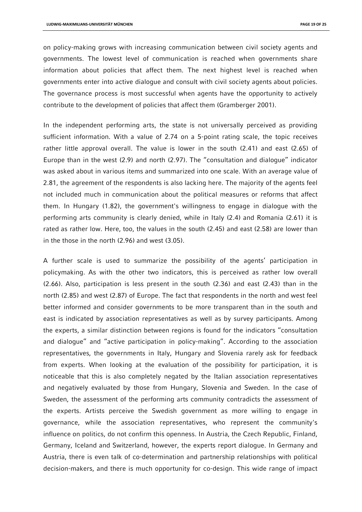on policy-making grows with increasing communication between civil society agents and governments. The lowest level of communication is reached when governments share information about policies that affect them. The next highest level is reached when governments enter into active dialogue and consult with civil society agents about policies. The governance process is most successful when agents have the opportunity to actively contribute to the development of policies that affect them (Gramberger 2001).

In the independent performing arts, the state is not universally perceived as providing sufficient information. With a value of 2.74 on a 5-point rating scale, the topic receives rather little approval overall. The value is lower in the south (2.41) and east (2.65) of Europe than in the west (2.9) and north (2.97). The "consultation and dialogue" indicator was asked about in various items and summarized into one scale. With an average value of 2.81, the agreement of the respondents is also lacking here. The majority of the agents feel not included much in communication about the political measures or reforms that affect them. In Hungary (1.82), the government's willingness to engage in dialogue with the performing arts community is clearly denied, while in Italy (2.4) and Romania (2.61) it is rated as rather low. Here, too, the values in the south (2.45) and east (2.58) are lower than in the those in the north (2.96) and west (3.05).

A further scale is used to summarize the possibility of the agents' participation in policymaking. As with the other two indicators, this is perceived as rather low overall (2.66). Also, participation is less present in the south (2.36) and east (2.43) than in the north (2.85) and west (2.87) of Europe. The fact that respondents in the north and west feel better informed and consider governments to be more transparent than in the south and east is indicated by association representatives as well as by survey participants. Among the experts, a similar distinction between regions is found for the indicators "consultation and dialogue" and "active participation in policy-making". According to the association representatives, the governments in Italy, Hungary and Slovenia rarely ask for feedback from experts. When looking at the evaluation of the possibility for participation, it is noticeable that this is also completely negated by the Italian association representatives and negatively evaluated by those from Hungary, Slovenia and Sweden. In the case of Sweden, the assessment of the performing arts community contradicts the assessment of the experts. Artists perceive the Swedish government as more willing to engage in governance, while the association representatives, who represent the community's influence on politics, do not confirm this openness. In Austria, the Czech Republic, Finland, Germany, Iceland and Switzerland, however, the experts report dialogue. In Germany and Austria, there is even talk of co-determination and partnership relationships with political decision-makers, and there is much opportunity for co-design. This wide range of impact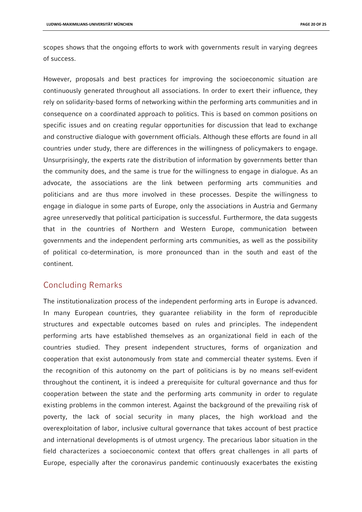scopes shows that the ongoing efforts to work with governments result in varying degrees of success.

However, proposals and best practices for improving the socioeconomic situation are continuously generated throughout all associations. In order to exert their influence, they rely on solidarity-based forms of networking within the performing arts communities and in consequence on a coordinated approach to politics. This is based on common positions on specific issues and on creating regular opportunities for discussion that lead to exchange and constructive dialogue with government officials. Although these efforts are found in all countries under study, there are differences in the willingness of policymakers to engage. Unsurprisingly, the experts rate the distribution of information by governments better than the community does, and the same is true for the willingness to engage in dialogue. As an advocate, the associations are the link between performing arts communities and politicians and are thus more involved in these processes. Despite the willingness to engage in dialogue in some parts of Europe, only the associations in Austria and Germany agree unreservedly that political participation is successful. Furthermore, the data suggests that in the countries of Northern and Western Europe, communication between governments and the independent performing arts communities, as well as the possibility of political co-determination, is more pronounced than in the south and east of the continent.

#### Concluding Remarks

The institutionalization process of the independent performing arts in Europe is advanced. In many European countries, they guarantee reliability in the form of reproducible structures and expectable outcomes based on rules and principles. The independent performing arts have established themselves as an organizational field in each of the countries studied. They present independent structures, forms of organization and cooperation that exist autonomously from state and commercial theater systems. Even if the recognition of this autonomy on the part of politicians is by no means self-evident throughout the continent, it is indeed a prerequisite for cultural governance and thus for cooperation between the state and the performing arts community in order to regulate existing problems in the common interest. Against the background of the prevailing risk of poverty, the lack of social security in many places, the high workload and the overexploitation of labor, inclusive cultural governance that takes account of best practice and international developments is of utmost urgency. The precarious labor situation in the field characterizes a socioeconomic context that offers great challenges in all parts of Europe, especially after the coronavirus pandemic continuously exacerbates the existing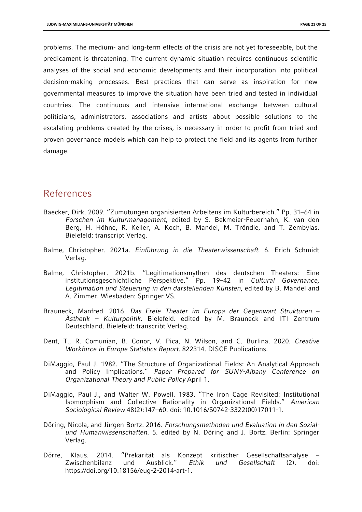problems. The medium- and long-term effects of the crisis are not yet foreseeable, but the predicament is threatening. The current dynamic situation requires continuous scientific analyses of the social and economic developments and their incorporation into political decision-making processes. Best practices that can serve as inspiration for new governmental measures to improve the situation have been tried and tested in individual countries. The continuous and intensive international exchange between cultural politicians, administrators, associations and artists about possible solutions to the escalating problems created by the crises, is necessary in order to profit from tried and proven governance models which can help to protect the field and its agents from further damage.

### References

- Baecker, Dirk. 2009. "Zumutungen organisierten Arbeitens im Kulturbereich." Pp. 31–64 in *Forschen im Kulturmanagement*, edited by S. Bekmeier-Feuerhahn, K. van den Berg, H. Höhne, R. Keller, A. Koch, B. Mandel, M. Tröndle, and T. Zembylas. Bielefeld: transcript Verlag.
- Balme, Christopher. 2021a. *Einführung in die Theaterwissenschaft*. 6. Erich Schmidt Verlag.
- Balme, Christopher. 2021b. "Legitimationsmythen des deutschen Theaters: Eine institutionsgeschichtliche Perspektive." Pp. 19–42 in *Cultural Governance, Legitimation und Steuerung in den darstellenden Künsten*, edited by B. Mandel and A. Zimmer. Wiesbaden: Springer VS.
- Brauneck, Manfred. 2016. *Das Freie Theater im Europa der Gegenwart Strukturen – Ästhetik – Kulturpolitik*. Bielefeld. edited by M. Brauneck and ITI Zentrum Deutschland. Bielefeld: transcribt Verlag.
- Dent, T., R. Comunian, B. Conor, V. Pica, N. Wilson, and C. Burlina. 2020. *Creative Workforce in Europe Statistics Report*. 822314. DISCE Publications.
- DiMaggio, Paul J. 1982. "The Structure of Organizational Fields: An Analytical Approach and Policy Implications." *Paper Prepared for SUNY-Albany Conference on Organizational Theory and Public Policy* April 1.
- DiMaggio, Paul J., and Walter W. Powell. 1983. "The Iron Cage Revisited: Institutional Isomorphism and Collective Rationality in Organizational Fields." *American Sociological Review* 48(2):147–60. doi: 10.1016/S0742-3322(00)17011-1.
- Döring, Nicola, and Jürgen Bortz. 2016. *Forschungsmethoden und Evaluation in den Sozialund Humanwissenschaften*. 5. edited by N. Döring and J. Bortz. Berlin: Springer Verlag.
- Dörre, Klaus. 2014. "Prekarität als Konzept kritischer Gesellschaftsanalyse –<br>Zwischenbilanz und Ausblick." Ethik und Gesellschaft (2). doi: Zwischenbilanz und Ausblick." *Ethik und Gesellschaft* (2). doi: https://doi.org/10.18156/eug-2-2014-art-1.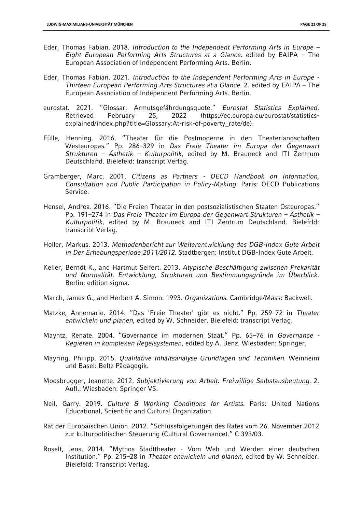- Eder, Thomas Fabian. 2018. *Introduction to the Independent Performing Arts in Europe – Eight European Performing Arts Structures at a Glance*. edited by EAIPA – The European Association of Independent Performing Arts. Berlin.
- Eder, Thomas Fabian. 2021. *Introduction to the Independent Performing Arts in Europe - Thirteen European Performing Arts Structures at a Glance*. 2. edited by EAIPA – The European Association of Independent Performing Arts. Berlin.
- eurostat. 2021. "Glossar: Armutsgefährdungsquote." *Eurostat Statistics Explained*. Retrieved February 25, 2022 (https://ec.europa.eu/eurostat/statisticsexplained/index.php?title=Glossary:At-risk-of-poverty\_rate/de).
- Fülle, Henning. 2016. "Theater für die Postmoderne in den Theaterlandschaften Westeuropas." Pp. 286–329 in *Das Freie Theater im Europa der Gegenwart Strukturen – Ästhetik – Kulturpolitik*, edited by M. Brauneck and ITI Zentrum Deutschland. Bielefeld: transcript Verlag.
- Gramberger, Marc. 2001. *Citizens as Partners - OECD Handbook on Information, Consultation and Public Participation in Policy-Making*. Paris: OECD Publications Service.
- Hensel, Andrea. 2016. "Die Freien Theater in den postsozialistischen Staaten Osteuropas." Pp. 191–274 in *Das Freie Theater im Europa der Gegenwart Strukturen – Ästhetik – Kulturpolitik*, edited by M. Brauneck and ITI Zentrum Deutschland. Bielefrld: transcribt Verlag.
- Holler, Markus. 2013. *Methodenbericht zur Weiterentwicklung des DGB-Index Gute Arbeit in Der Erhebungsperiode 2011/2012*. Stadtbergen: Institut DGB-Index Gute Arbeit.
- Keller, Berndt K., and Hartmut Seifert. 2013. *Atypische Beschäftigung zwischen Prekarität und Normalität. Entwicklung, Strukturen und Bestimmungsgründe im Überblick*. Berlin: edition sigma.
- March, James G., and Herbert A. Simon. 1993. *Organizations*. Cambridge/Mass: Backwell.
- Matzke, Annemarie. 2014. "Das 'Freie Theater' gibt es nicht." Pp. 259–72 in *Theater entwickeln und planen*, edited by W. Schneider. Bielefeld: transcript Verlag.
- Mayntz, Renate. 2004. "Governance im modernen Staat." Pp. 65–76 in *Governance - Regieren in komplexen Regelsystemen*, edited by A. Benz. Wiesbaden: Springer.
- Mayring, Philipp. 2015. *Qualitative Inhaltsanalyse Grundlagen und Techniken*. Weinheim und Basel: Beltz Pädagogik.
- Moosbrugger, Jeanette. 2012. *Subjektivierung von Arbeit: Freiwillige Selbstausbeutung*. 2. Aufl.: Wiesbaden: Springer VS.
- Neil, Garry. 2019. *Culture & Working Conditions for Artists*. Paris: United Nations Educational, Scientific and Cultural Organization.
- Rat der Europäischen Union. 2012. "Schlussfolgerungen des Rates vom 26. November 2012 zur kulturpolitischen Steuerung (Cultural Governance)." C 393/03.
- Roselt, Jens. 2014. "Mythos Stadttheater Vom Weh und Werden einer deutschen Institution." Pp. 215–28 in *Theater entwickeln und planen*, edited by W. Schneider. Bielefeld: Transcript Verlag.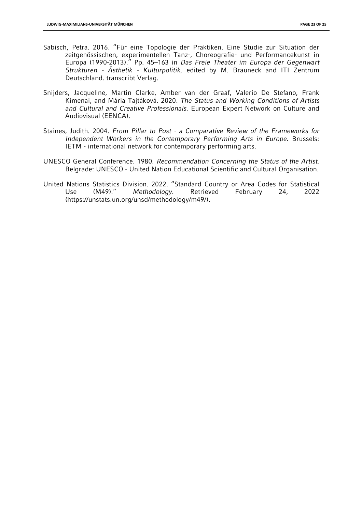- Sabisch, Petra. 2016. "Für eine Topologie der Praktiken. Eine Studie zur Situation der zeitgenössischen, experimentellen Tanz-, Choreografie- und Performancekunst in Europa (1990-2013)." Pp. 45–163 in *Das Freie Theater im Europa der Gegenwart Strukturen - Ästhetik - Kulturpolitik*, edited by M. Brauneck and ITI Zentrum Deutschland. transcribt Verlag.
- Snijders, Jacqueline, Martin Clarke, Amber van der Graaf, Valerio De Stefano, Frank Kimenai, and Mária Tajtáková. 2020. *The Status and Working Conditions of Artists and Cultural and Creative Professionals*. European Expert Network on Culture and Audiovisual (EENCA).
- Staines, Judith. 2004. *From Pillar to Post - a Comparative Review of the Frameworks for Independent Workers in the Contemporary Performing Arts in Europe*. Brussels: IETM - international network for contemporary performing arts.
- UNESCO General Conference. 1980. *Recommendation Concerning the Status of the Artist*. Belgrade: UNESCO - United Nation Educational Scientific and Cultural Organisation.
- United Nations Statistics Division. 2022. "Standard Country or Area Codes for Statistical Use (M49)." *Methodology*. Retrieved February 24, 2022 (https://unstats.un.org/unsd/methodology/m49/).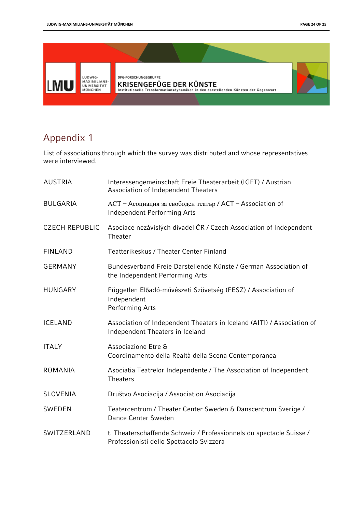

## Appendix 1

List of associations through which the survey was distributed and whose representatives were interviewed.

| <b>AUSTRIA</b>        | Interessengemeinschaft Freie Theaterarbeit (IGFT) / Austrian<br>Association of Independent Theaters             |
|-----------------------|-----------------------------------------------------------------------------------------------------------------|
| <b>BULGARIA</b>       | АСТ - Асоциация за свободен театър / АСТ - Association of<br><b>Independent Performing Arts</b>                 |
| <b>CZECH REPUBLIC</b> | Asociace nezávislých divadel ČR / Czech Association of Independent<br>Theater                                   |
| <b>FINLAND</b>        | Teatterikeskus / Theater Center Finland                                                                         |
| <b>GERMANY</b>        | Bundesverband Freie Darstellende Künste / German Association of<br>the Independent Performing Arts              |
| <b>HUNGARY</b>        | Független Előadó-művészeti Szövetség (FESZ) / Association of<br>Independent<br><b>Performing Arts</b>           |
| <b>ICELAND</b>        | Association of Independent Theaters in Iceland (AITI) / Association of<br>Independent Theaters in Iceland       |
| <b>ITALY</b>          | Associazione Etre &<br>Coordinamento della Realtà della Scena Contemporanea                                     |
| <b>ROMANIA</b>        | Asociatia Teatrelor Independente / The Association of Independent<br><b>Theaters</b>                            |
| <b>SLOVENIA</b>       | Društvo Asociacija / Association Asociacija                                                                     |
| SWEDEN                | Teatercentrum / Theater Center Sweden & Danscentrum Sverige /<br>Dance Center Sweden                            |
| SWITZERLAND           | t. Theaterschaffende Schweiz / Professionnels du spectacle Suisse /<br>Professionisti dello Spettacolo Svizzera |